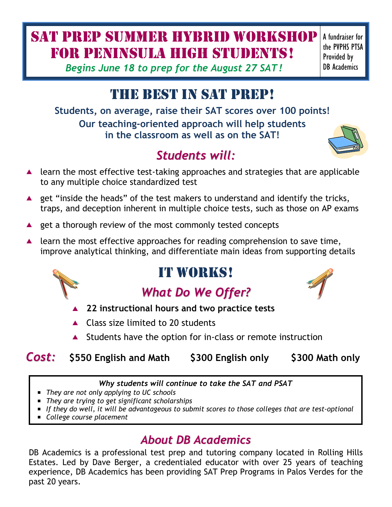# SAT PREP SUMMER hybrid WORKSHOP for PENINSULA HIGH students!

*Begins June 18 to prep for the August 27 SAT!*

#### A fundraiser for the PVPHS PTSA Provided by DB Academics

# THE BEST IN SAT PREP!

**Students, on average, raise their SAT scores over 100 points! Our teaching-oriented approach will help students in the classroom as well as on the SAT!**

## *Students will:*

- $\blacktriangle$  learn the most effective test-taking approaches and strategies that are applicable to any multiple choice standardized test
- **A** get "inside the heads" of the test makers to understand and identify the tricks, traps, and deception inherent in multiple choice tests, such as those on AP exams
- **A** get a thorough review of the most commonly tested concepts
- $\blacktriangle$  learn the most effective approaches for reading comprehension to save time, improve analytical thinking, and differentiate main ideas from supporting details

## IT WORKS!

# *What Do We Offer?*

- **22 instructional hours and two practice tests**
- ▲ Class size limited to 20 students
- ▲ Students have the option for in-class or remote instruction

### *Cost:* **\$550 English and Math \$300 English only \$300 Math only**

*Why students will continue to take the SAT and PSAT*

- *They are not only applying to UC schools*
- *They are trying to get significant scholarships*
- *If they do well, it will be advantageous to submit scores to those colleges that are test-optional*
- *College course placement*

## *About DB Academics*

DB Academics is a professional test prep and tutoring company located in Rolling Hills Estates. Led by Dave Berger, a credentialed educator with over 25 years of teaching experience, DB Academics has been providing SAT Prep Programs in Palos Verdes for the past 20 years.